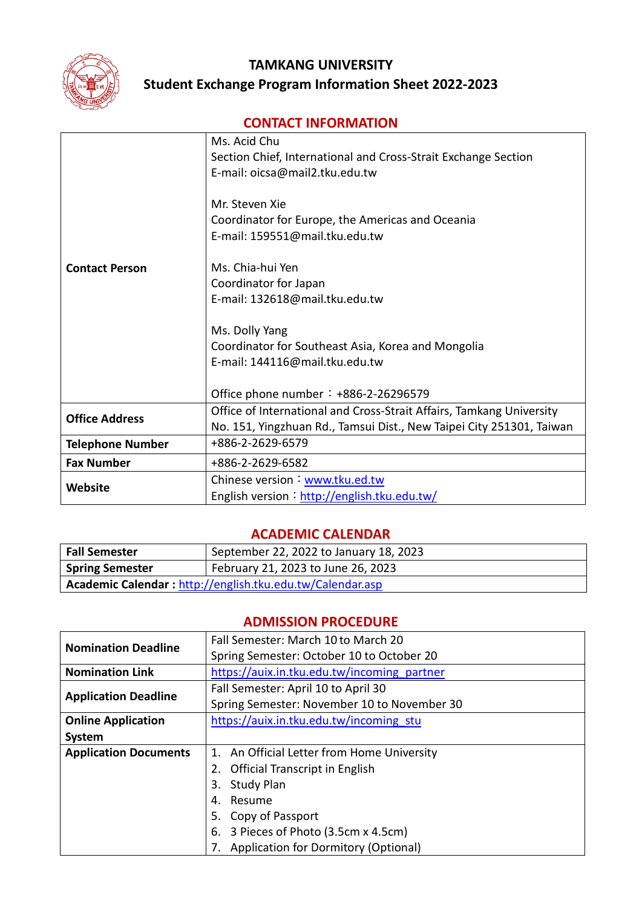

# **TAMKANG UNIVERSITY Student Exchange Program Information Sheet 2022-2023**

# **CONTACT INFORMATION**

|                         | Ms. Acid Chu                                                         |
|-------------------------|----------------------------------------------------------------------|
|                         | Section Chief, International and Cross-Strait Exchange Section       |
|                         | E-mail: oicsa@mail2.tku.edu.tw                                       |
|                         |                                                                      |
|                         | Mr. Steven Xie                                                       |
|                         | Coordinator for Europe, the Americas and Oceania                     |
|                         | E-mail: 159551@mail.tku.edu.tw                                       |
| <b>Contact Person</b>   | Ms. Chia-hui Yen                                                     |
|                         | Coordinator for Japan                                                |
|                         | E-mail: 132618@mail.tku.edu.tw                                       |
|                         |                                                                      |
|                         | Ms. Dolly Yang                                                       |
|                         | Coordinator for Southeast Asia, Korea and Mongolia                   |
|                         | E-mail: 144116@mail.tku.edu.tw                                       |
|                         |                                                                      |
|                         | Office phone number: $+886-2-26296579$                               |
| <b>Office Address</b>   | Office of International and Cross-Strait Affairs, Tamkang University |
|                         | No. 151, Yingzhuan Rd., Tamsui Dist., New Taipei City 251301, Taiwan |
| <b>Telephone Number</b> | +886-2-2629-6579                                                     |
| <b>Fax Number</b>       | +886-2-2629-6582                                                     |
| <b>Website</b>          | Chinese version: www.tku.ed.tw                                       |
|                         | English version: http://english.tku.edu.tw/                          |

#### **ACADEMIC CALENDAR**

| Fall Semester                                             | September 22, 2022 to January 18, 2023 |
|-----------------------------------------------------------|----------------------------------------|
| <b>Spring Semester</b>                                    | February 21, 2023 to June 26, 2023     |
| Academic Calendar: http://english.tku.edu.tw/Calendar.asp |                                        |

# **ADMISSION PROCEDURE**

| <b>Nomination Deadline</b>   | Fall Semester: March 10 to March 20         |  |  |
|------------------------------|---------------------------------------------|--|--|
|                              | Spring Semester: October 10 to October 20   |  |  |
| <b>Nomination Link</b>       | https://auix.in.tku.edu.tw/incoming partner |  |  |
| <b>Application Deadline</b>  | Fall Semester: April 10 to April 30         |  |  |
|                              | Spring Semester: November 10 to November 30 |  |  |
| <b>Online Application</b>    | https://auix.in.tku.edu.tw/incoming stu     |  |  |
| System                       |                                             |  |  |
| <b>Application Documents</b> | An Official Letter from Home University     |  |  |
|                              | <b>Official Transcript in English</b><br>2. |  |  |
|                              | <b>Study Plan</b><br>3.                     |  |  |
|                              | Resume<br>4.                                |  |  |
|                              | 5. Copy of Passport                         |  |  |
|                              | 6. 3 Pieces of Photo (3.5cm x 4.5cm)        |  |  |
|                              | 7. Application for Dormitory (Optional)     |  |  |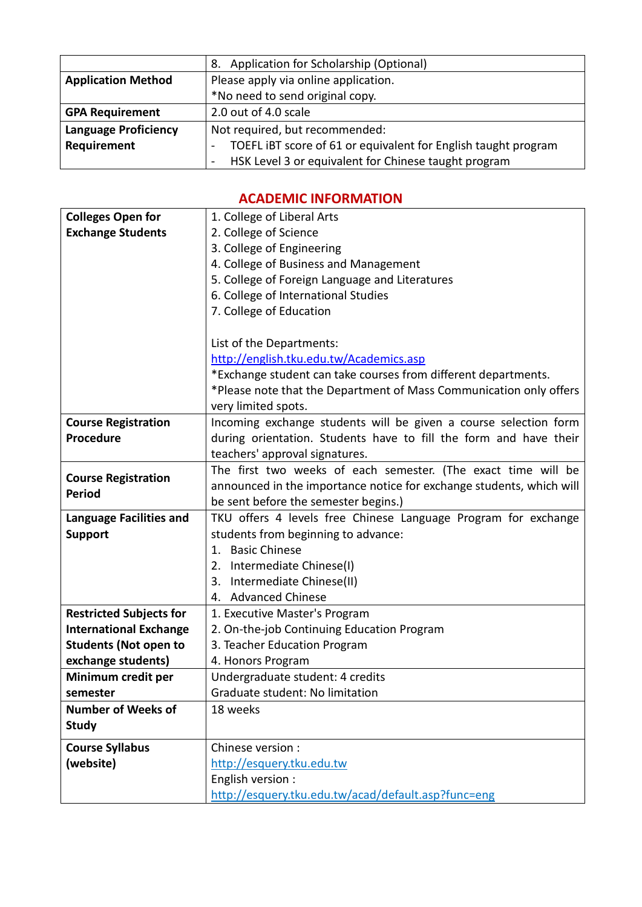|                             | Application for Scholarship (Optional)<br>8.                           |  |
|-----------------------------|------------------------------------------------------------------------|--|
| <b>Application Method</b>   | Please apply via online application.                                   |  |
|                             | *No need to send original copy.                                        |  |
| <b>GPA Requirement</b>      | 2.0 out of 4.0 scale                                                   |  |
| <b>Language Proficiency</b> | Not required, but recommended:                                         |  |
| Requirement                 | TOEFL IBT score of 61 or equivalent for English taught program         |  |
|                             | HSK Level 3 or equivalent for Chinese taught program<br>$\blacksquare$ |  |

## **ACADEMIC INFORMATION**

| <b>Colleges Open for</b>       | 1. College of Liberal Arts                                                                            |  |
|--------------------------------|-------------------------------------------------------------------------------------------------------|--|
| <b>Exchange Students</b>       | 2. College of Science                                                                                 |  |
|                                | 3. College of Engineering                                                                             |  |
|                                | 4. College of Business and Management                                                                 |  |
|                                | 5. College of Foreign Language and Literatures                                                        |  |
|                                | 6. College of International Studies                                                                   |  |
|                                | 7. College of Education                                                                               |  |
|                                |                                                                                                       |  |
|                                | List of the Departments:                                                                              |  |
|                                | http://english.tku.edu.tw/Academics.asp                                                               |  |
|                                | *Exchange student can take courses from different departments.                                        |  |
|                                | *Please note that the Department of Mass Communication only offers                                    |  |
|                                | very limited spots.                                                                                   |  |
| <b>Course Registration</b>     | Incoming exchange students will be given a course selection form                                      |  |
| <b>Procedure</b>               | during orientation. Students have to fill the form and have their                                     |  |
|                                | teachers' approval signatures.                                                                        |  |
| <b>Course Registration</b>     | The first two weeks of each semester. (The exact time will be                                         |  |
| <b>Period</b>                  | announced in the importance notice for exchange students, which will                                  |  |
|                                | be sent before the semester begins.)                                                                  |  |
| <b>Language Facilities and</b> | TKU offers 4 levels free Chinese Language Program for exchange<br>students from beginning to advance: |  |
| <b>Support</b>                 |                                                                                                       |  |
|                                | 1. Basic Chinese                                                                                      |  |
|                                | 2. Intermediate Chinese(I)                                                                            |  |
|                                | 3.<br>Intermediate Chinese(II)                                                                        |  |
|                                | <b>Advanced Chinese</b><br>4.                                                                         |  |
| <b>Restricted Subjects for</b> | 1. Executive Master's Program                                                                         |  |
| <b>International Exchange</b>  | 2. On-the-job Continuing Education Program                                                            |  |
| <b>Students (Not open to</b>   | 3. Teacher Education Program                                                                          |  |
| exchange students)             | 4. Honors Program                                                                                     |  |
| Minimum credit per             | Undergraduate student: 4 credits                                                                      |  |
| semester                       | Graduate student: No limitation                                                                       |  |
| <b>Number of Weeks of</b>      | 18 weeks                                                                                              |  |
| <b>Study</b>                   |                                                                                                       |  |
| <b>Course Syllabus</b>         | Chinese version :                                                                                     |  |
| (website)                      | http://esquery.tku.edu.tw                                                                             |  |
|                                | English version :                                                                                     |  |
|                                | http://esquery.tku.edu.tw/acad/default.asp?func=eng                                                   |  |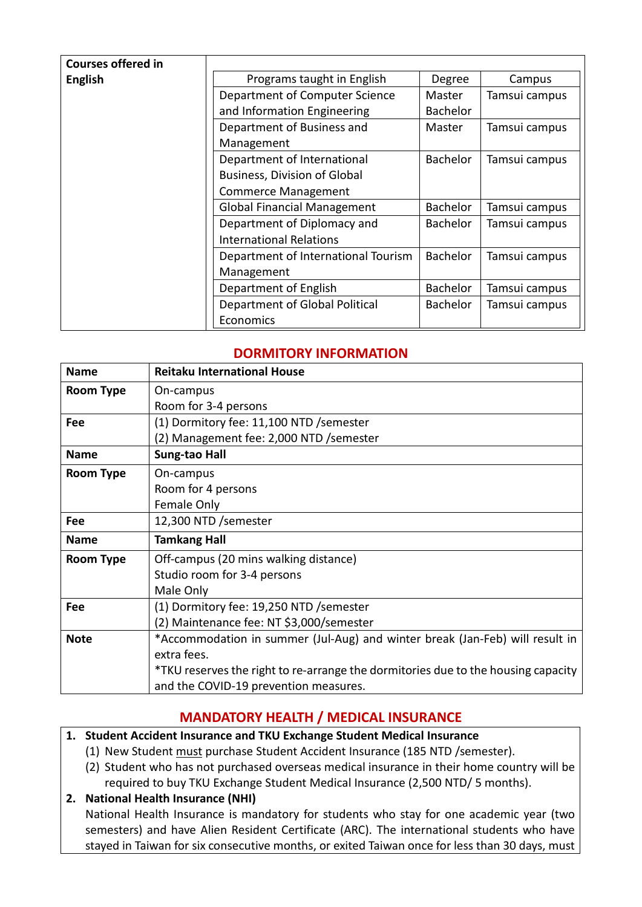| <b>Courses offered in</b> |                                     |                 |               |
|---------------------------|-------------------------------------|-----------------|---------------|
| <b>English</b>            | Programs taught in English          | Degree          | Campus        |
|                           | Department of Computer Science      | Master          | Tamsui campus |
|                           | and Information Engineering         | <b>Bachelor</b> |               |
|                           | Department of Business and          | Master          | Tamsui campus |
|                           | Management                          |                 |               |
|                           | Department of International         | <b>Bachelor</b> | Tamsui campus |
|                           | <b>Business, Division of Global</b> |                 |               |
|                           | <b>Commerce Management</b>          |                 |               |
|                           | <b>Global Financial Management</b>  | <b>Bachelor</b> | Tamsui campus |
|                           | Department of Diplomacy and         | <b>Bachelor</b> | Tamsui campus |
|                           | <b>International Relations</b>      |                 |               |
|                           | Department of International Tourism | <b>Bachelor</b> | Tamsui campus |
|                           | Management                          |                 |               |
|                           | Department of English               | <b>Bachelor</b> | Tamsui campus |
|                           | Department of Global Political      | <b>Bachelor</b> | Tamsui campus |
|                           | Economics                           |                 |               |

## **DORMITORY INFORMATION**

| <b>Name</b>      | <b>Reitaku International House</b>                                                |
|------------------|-----------------------------------------------------------------------------------|
| <b>Room Type</b> | On-campus                                                                         |
|                  | Room for 3-4 persons                                                              |
| Fee              | (1) Dormitory fee: 11,100 NTD / semester                                          |
|                  | (2) Management fee: 2,000 NTD /semester                                           |
| <b>Name</b>      | Sung-tao Hall                                                                     |
| Room Type        | On-campus                                                                         |
|                  | Room for 4 persons                                                                |
|                  | Female Only                                                                       |
| Fee              | 12,300 NTD /semester                                                              |
| <b>Name</b>      | <b>Tamkang Hall</b>                                                               |
| <b>Room Type</b> | Off-campus (20 mins walking distance)                                             |
|                  | Studio room for 3-4 persons                                                       |
|                  | Male Only                                                                         |
| Fee              | (1) Dormitory fee: 19,250 NTD / semester                                          |
|                  | (2) Maintenance fee: NT \$3,000/semester                                          |
| <b>Note</b>      | *Accommodation in summer (Jul-Aug) and winter break (Jan-Feb) will result in      |
|                  | extra fees.                                                                       |
|                  | *TKU reserves the right to re-arrange the dormitories due to the housing capacity |
|                  |                                                                                   |

### **MANDATORY HEALTH / MEDICAL INSURANCE**

- **1. Student Accident Insurance and TKU Exchange Student Medical Insurance**
	- (1) New Student must purchase Student Accident Insurance (185 NTD /semester).
	- (2) Student who has not purchased overseas medical insurance in their home country will be required to buy TKU Exchange Student Medical Insurance (2,500 NTD/ 5 months).

### **2. National Health Insurance (NHI)**

National Health Insurance is mandatory for students who stay for one academic year (two semesters) and have Alien Resident Certificate (ARC). The international students who have stayed in Taiwan for six consecutive months, or exited Taiwan once for less than 30 days, must